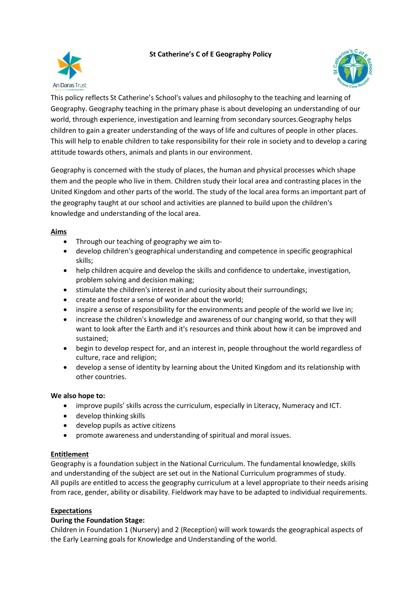### **St Catherine's C of E Geography Policy**





This policy reflects St Catherine's School's values and philosophy to the teaching and learning of Geography. Geography teaching in the primary phase is about developing an understanding of our world, through experience, investigation and learning from secondary sources.Geography helps children to gain a greater understanding of the ways of life and cultures of people in other places. This will help to enable children to take responsibility for their role in society and to develop a caring attitude towards others, animals and plants in our environment.

Geography is concerned with the study of places, the human and physical processes which shape them and the people who live in them. Children study their local area and contrasting places in the United Kingdom and other parts of the world. The study of the local area forms an important part of the geography taught at our school and activities are planned to build upon the children's knowledge and understanding of the local area.

### **Aims**

- Through our teaching of geography we aim to-
- develop children's geographical understanding and competence in specific geographical skills;
- help children acquire and develop the skills and confidence to undertake, investigation, problem solving and decision making;
- stimulate the children's interest in and curiosity about their surroundings;
- create and foster a sense of wonder about the world;
- inspire a sense of responsibility for the environments and people of the world we live in;
- increase the children's knowledge and awareness of our changing world, so that they will want to look after the Earth and it's resources and think about how it can be improved and sustained;
- begin to develop respect for, and an interest in, people throughout the world regardless of culture, race and religion;
- develop a sense of identity by learning about the United Kingdom and its relationship with other countries.

#### **We also hope to:**

- improve pupils' skills across the curriculum, especially in Literacy, Numeracy and ICT.
- develop thinking skills
- develop pupils as active citizens
- promote awareness and understanding of spiritual and moral issues.

# **Entitlement**

Geography is a foundation subject in the National Curriculum. The fundamental knowledge, skills and understanding of the subject are set out in the National Curriculum programmes of study. All pupils are entitled to access the geography curriculum at a level appropriate to their needs arising from race, gender, ability or disability. Fieldwork may have to be adapted to individual requirements.

# **Expectations**

#### **During the Foundation Stage:**

Children in Foundation 1 (Nursery) and 2 (Reception) will work towards the geographical aspects of the Early Learning goals for Knowledge and Understanding of the world.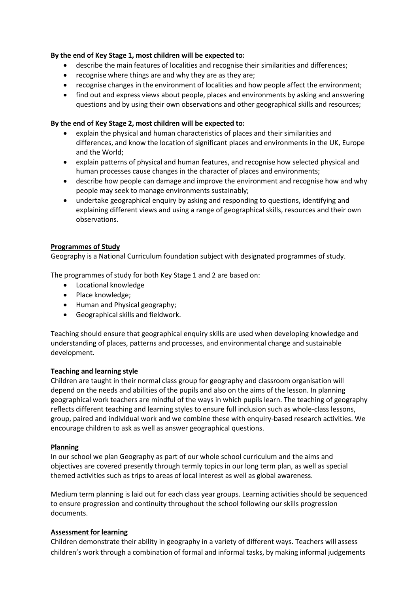### **By the end of Key Stage 1, most children will be expected to:**

- describe the main features of localities and recognise their similarities and differences;
- recognise where things are and why they are as they are;
- recognise changes in the environment of localities and how people affect the environment;
- find out and express views about people, places and environments by asking and answering questions and by using their own observations and other geographical skills and resources;

### **By the end of Key Stage 2, most children will be expected to:**

- explain the physical and human characteristics of places and their similarities and differences, and know the location of significant places and environments in the UK, Europe and the World;
- explain patterns of physical and human features, and recognise how selected physical and human processes cause changes in the character of places and environments;
- describe how people can damage and improve the environment and recognise how and why people may seek to manage environments sustainably;
- undertake geographical enquiry by asking and responding to questions, identifying and explaining different views and using a range of geographical skills, resources and their own observations.

#### **Programmes of Study**

Geography is a National Curriculum foundation subject with designated programmes of study.

The programmes of study for both Key Stage 1 and 2 are based on:

- Locational knowledge
- Place knowledge;
- Human and Physical geography;
- Geographical skills and fieldwork.

Teaching should ensure that geographical enquiry skills are used when developing knowledge and understanding of places, patterns and processes, and environmental change and sustainable development.

#### **Teaching and learning style**

Children are taught in their normal class group for geography and classroom organisation will depend on the needs and abilities of the pupils and also on the aims of the lesson. In planning geographical work teachers are mindful of the ways in which pupils learn. The teaching of geography reflects different teaching and learning styles to ensure full inclusion such as whole-class lessons, group, paired and individual work and we combine these with enquiry-based research activities. We encourage children to ask as well as answer geographical questions.

#### **Planning**

In our school we plan Geography as part of our whole school curriculum and the aims and objectives are covered presently through termly topics in our long term plan, as well as special themed activities such as trips to areas of local interest as well as global awareness.

Medium term planning is laid out for each class year groups. Learning activities should be sequenced to ensure progression and continuity throughout the school following our skills progression documents.

#### **Assessment for learning**

Children demonstrate their ability in geography in a variety of different ways. Teachers will assess children's work through a combination of formal and informal tasks, by making informal judgements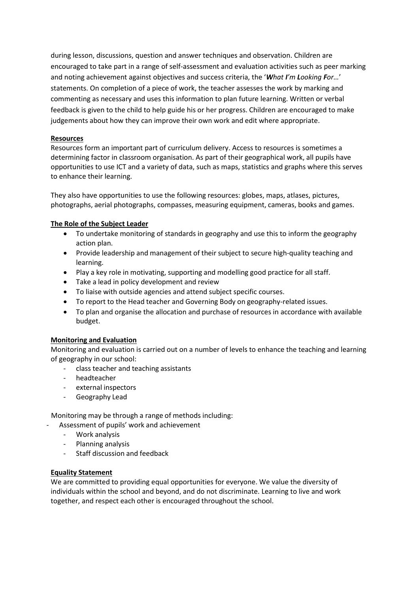during lesson, discussions, question and answer techniques and observation. Children are encouraged to take part in a range of self-assessment and evaluation activities such as peer marking and noting achievement against objectives and success criteria, the '*What I'm Looking For…*' statements. On completion of a piece of work, the teacher assesses the work by marking and commenting as necessary and uses this information to plan future learning. Written or verbal feedback is given to the child to help guide his or her progress. Children are encouraged to make judgements about how they can improve their own work and edit where appropriate.

### **Resources**

Resources form an important part of curriculum delivery. Access to resources is sometimes a determining factor in classroom organisation. As part of their geographical work, all pupils have opportunities to use ICT and a variety of data, such as maps, statistics and graphs where this serves to enhance their learning.

They also have opportunities to use the following resources: globes, maps, atlases, pictures, photographs, aerial photographs, compasses, measuring equipment, cameras, books and games.

### **The Role of the Subject Leader**

- To undertake monitoring of standards in geography and use this to inform the geography action plan.
- Provide leadership and management of their subject to secure high-quality teaching and learning.
- Play a key role in motivating, supporting and modelling good practice for all staff.
- Take a lead in policy development and review
- To liaise with outside agencies and attend subject specific courses.
- To report to the Head teacher and Governing Body on geography-related issues.
- To plan and organise the allocation and purchase of resources in accordance with available budget.

#### **Monitoring and Evaluation**

Monitoring and evaluation is carried out on a number of levels to enhance the teaching and learning of geography in our school:

- class teacher and teaching assistants
- headteacher
- external inspectors
- Geography Lead

Monitoring may be through a range of methods including:

- Assessment of pupils' work and achievement
	- Work analysis
	- Planning analysis
	- Staff discussion and feedback

#### **Equality Statement**

We are committed to providing equal opportunities for everyone. We value the diversity of individuals within the school and beyond, and do not discriminate. Learning to live and work together, and respect each other is encouraged throughout the school.